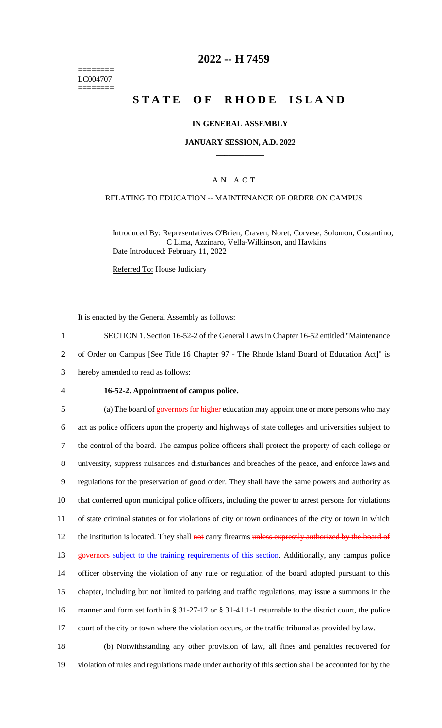======== LC004707 ========

## **2022 -- H 7459**

# **STATE OF RHODE ISLAND**

#### **IN GENERAL ASSEMBLY**

#### **JANUARY SESSION, A.D. 2022 \_\_\_\_\_\_\_\_\_\_\_\_**

#### A N A C T

### RELATING TO EDUCATION -- MAINTENANCE OF ORDER ON CAMPUS

Introduced By: Representatives O'Brien, Craven, Noret, Corvese, Solomon, Costantino, C Lima, Azzinaro, Vella-Wilkinson, and Hawkins Date Introduced: February 11, 2022

Referred To: House Judiciary

It is enacted by the General Assembly as follows:

1 SECTION 1. Section 16-52-2 of the General Laws in Chapter 16-52 entitled "Maintenance

2 of Order on Campus [See Title 16 Chapter 97 - The Rhode Island Board of Education Act]" is

- 3 hereby amended to read as follows:
- 

#### 4 **16-52-2. Appointment of campus police.**

5 (a) The board of governors for higher education may appoint one or more persons who may act as police officers upon the property and highways of state colleges and universities subject to the control of the board. The campus police officers shall protect the property of each college or university, suppress nuisances and disturbances and breaches of the peace, and enforce laws and regulations for the preservation of good order. They shall have the same powers and authority as that conferred upon municipal police officers, including the power to arrest persons for violations of state criminal statutes or for violations of city or town ordinances of the city or town in which 12 the institution is located. They shall not carry firearms unless expressly authorized by the board of 13 governors subject to the training requirements of this section. Additionally, any campus police officer observing the violation of any rule or regulation of the board adopted pursuant to this chapter, including but not limited to parking and traffic regulations, may issue a summons in the manner and form set forth in § 31-27-12 or § 31-41.1-1 returnable to the district court, the police court of the city or town where the violation occurs, or the traffic tribunal as provided by law. (b) Notwithstanding any other provision of law, all fines and penalties recovered for

19 violation of rules and regulations made under authority of this section shall be accounted for by the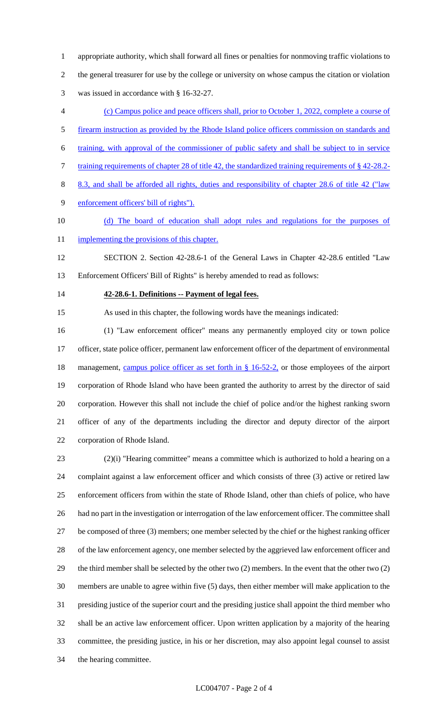appropriate authority, which shall forward all fines or penalties for nonmoving traffic violations to the general treasurer for use by the college or university on whose campus the citation or violation was issued in accordance with § 16-32-27.

- (c) Campus police and peace officers shall, prior to October 1, 2022, complete a course of
- firearm instruction as provided by the Rhode Island police officers commission on standards and
- training, with approval of the commissioner of public safety and shall be subject to in service
- 7 training requirements of chapter 28 of title 42, the standardized training requirements of §42-28.2-
- 8.3, and shall be afforded all rights, duties and responsibility of chapter 28.6 of title 42 ("law
- enforcement officers' bill of rights").
- (d) The board of education shall adopt rules and regulations for the purposes of
- 11 implementing the provisions of this chapter.

 SECTION 2. Section 42-28.6-1 of the General Laws in Chapter 42-28.6 entitled "Law Enforcement Officers' Bill of Rights" is hereby amended to read as follows:

## **42-28.6-1. Definitions -- Payment of legal fees.**

As used in this chapter, the following words have the meanings indicated:

 (1) "Law enforcement officer" means any permanently employed city or town police officer, state police officer, permanent law enforcement officer of the department of environmental 18 management, campus police officer as set forth in § 16-52-2, or those employees of the airport corporation of Rhode Island who have been granted the authority to arrest by the director of said corporation. However this shall not include the chief of police and/or the highest ranking sworn officer of any of the departments including the director and deputy director of the airport corporation of Rhode Island.

 (2)(i) "Hearing committee" means a committee which is authorized to hold a hearing on a complaint against a law enforcement officer and which consists of three (3) active or retired law enforcement officers from within the state of Rhode Island, other than chiefs of police, who have had no part in the investigation or interrogation of the law enforcement officer. The committee shall be composed of three (3) members; one member selected by the chief or the highest ranking officer of the law enforcement agency, one member selected by the aggrieved law enforcement officer and the third member shall be selected by the other two (2) members. In the event that the other two (2) members are unable to agree within five (5) days, then either member will make application to the presiding justice of the superior court and the presiding justice shall appoint the third member who shall be an active law enforcement officer. Upon written application by a majority of the hearing committee, the presiding justice, in his or her discretion, may also appoint legal counsel to assist the hearing committee.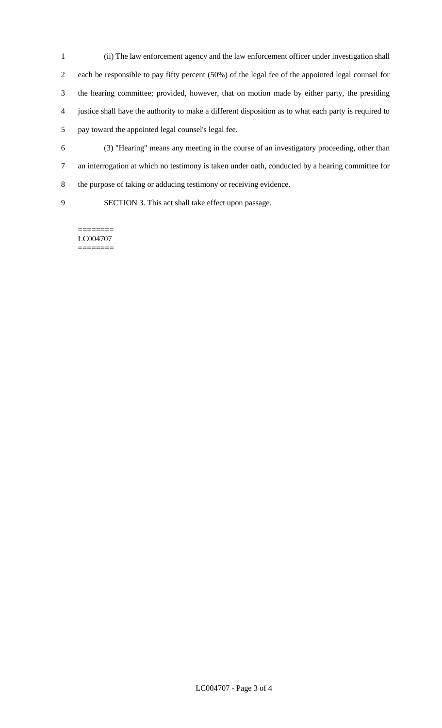- (ii) The law enforcement agency and the law enforcement officer under investigation shall each be responsible to pay fifty percent (50%) of the legal fee of the appointed legal counsel for the hearing committee; provided, however, that on motion made by either party, the presiding justice shall have the authority to make a different disposition as to what each party is required to pay toward the appointed legal counsel's legal fee.
- (3) "Hearing" means any meeting in the course of an investigatory proceeding, other than an interrogation at which no testimony is taken under oath, conducted by a hearing committee for the purpose of taking or adducing testimony or receiving evidence.
- 

SECTION 3. This act shall take effect upon passage.

======== LC004707 ========